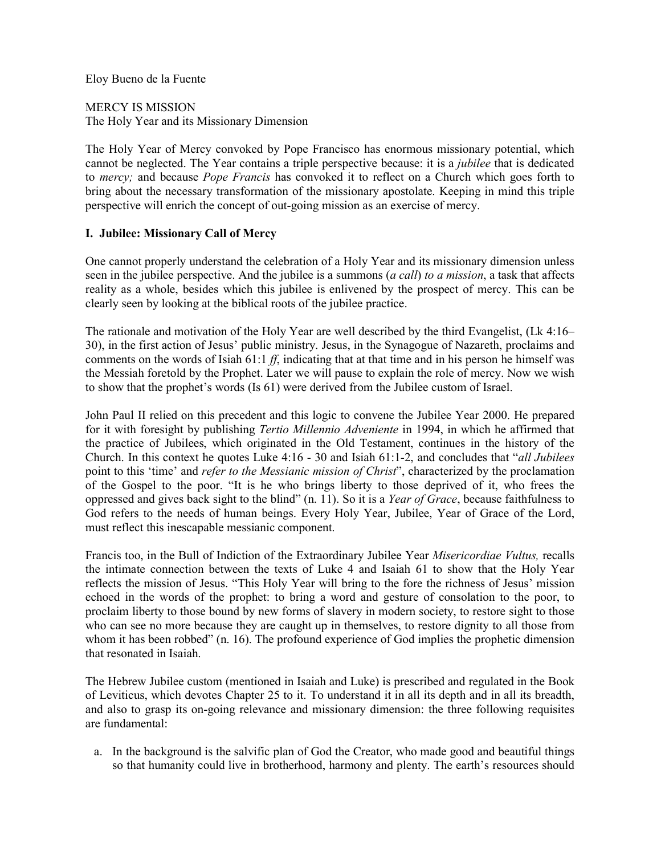Eloy Bueno de la Fuente

MERCY IS MISSION The Holy Year and its Missionary Dimension

The Holy Year of Mercy convoked by Pope Francisco has enormous missionary potential, which cannot be neglected. The Year contains a triple perspective because: it is a *jubilee* that is dedicated to *mercy;* and because *Pope Francis* has convoked it to reflect on a Church which goes forth to bring about the necessary transformation of the missionary apostolate. Keeping in mind this triple perspective will enrich the concept of out-going mission as an exercise of mercy.

# **I. Jubilee: Missionary Call of Mercy**

One cannot properly understand the celebration of a Holy Year and its missionary dimension unless seen in the jubilee perspective. And the jubilee is a summons (*a call*) *to a mission*, a task that affects reality as a whole, besides which this jubilee is enlivened by the prospect of mercy. This can be clearly seen by looking at the biblical roots of the jubilee practice.

The rationale and motivation of the Holy Year are well described by the third Evangelist, (Lk 4:16– 30), in the first action of Jesus' public ministry. Jesus, in the Synagogue of Nazareth, proclaims and comments on the words of Isiah 61:1 *ff*, indicating that at that time and in his person he himself was the Messiah foretold by the Prophet. Later we will pause to explain the role of mercy. Now we wish to show that the prophet's words (Is 61) were derived from the Jubilee custom of Israel.

John Paul II relied on this precedent and this logic to convene the Jubilee Year 2000. He prepared for it with foresight by publishing *Tertio Millennio Adveniente* in 1994, in which he affirmed that the practice of Jubilees, which originated in the Old Testament, continues in the history of the Church. In this context he quotes Luke 4:16 - 30 and Isiah 61:1-2, and concludes that "*all Jubilees* point to this 'time' and *refer to the Messianic mission of Christ*", characterized by the proclamation of the Gospel to the poor. "It is he who brings liberty to those deprived of it, who frees the oppressed and gives back sight to the blind" (n. 11). So it is a *Year of Grace*, because faithfulness to God refers to the needs of human beings. Every Holy Year, Jubilee, Year of Grace of the Lord, must reflect this inescapable messianic component.

Francis too, in the Bull of Indiction of the Extraordinary Jubilee Year *Misericordiae Vultus,* recalls the intimate connection between the texts of Luke 4 and Isaiah 61 to show that the Holy Year reflects the mission of Jesus. "This Holy Year will bring to the fore the richness of Jesus' mission echoed in the words of the prophet: to bring a word and gesture of consolation to the poor, to proclaim liberty to those bound by new forms of slavery in modern society, to restore sight to those who can see no more because they are caught up in themselves, to restore dignity to all those from whom it has been robbed" (n. 16). The profound experience of God implies the prophetic dimension that resonated in Isaiah.

The Hebrew Jubilee custom (mentioned in Isaiah and Luke) is prescribed and regulated in the Book of Leviticus, which devotes Chapter 25 to it. To understand it in all its depth and in all its breadth, and also to grasp its on-going relevance and missionary dimension: the three following requisites are fundamental:

a. In the background is the salvific plan of God the Creator, who made good and beautiful things so that humanity could live in brotherhood, harmony and plenty. The earth's resources should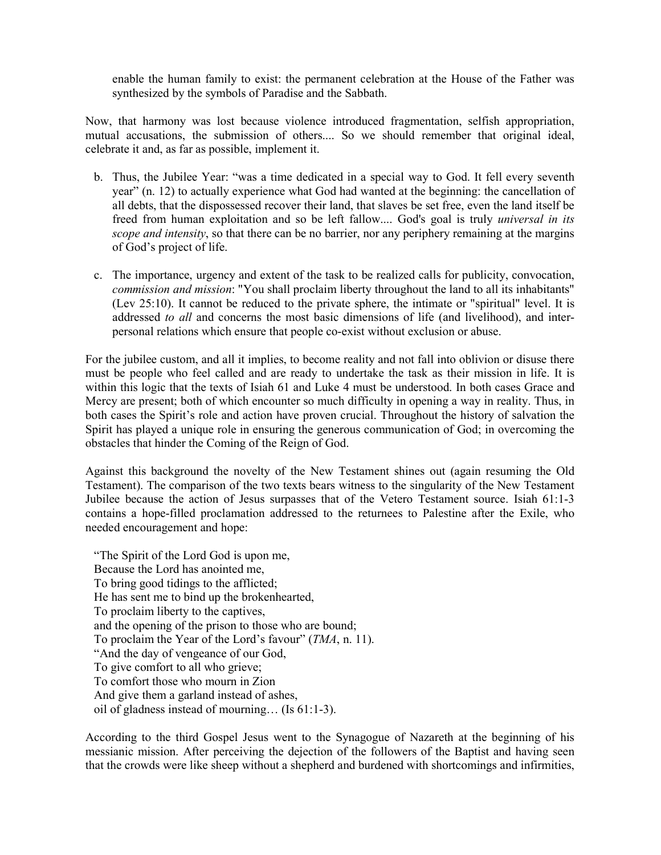enable the human family to exist: the permanent celebration at the House of the Father was synthesized by the symbols of Paradise and the Sabbath.

Now, that harmony was lost because violence introduced fragmentation, selfish appropriation, mutual accusations, the submission of others.... So we should remember that original ideal, celebrate it and, as far as possible, implement it.

- b. Thus, the Jubilee Year: "was a time dedicated in a special way to God. It fell every seventh year" (n. 12) to actually experience what God had wanted at the beginning: the cancellation of all debts, that the dispossessed recover their land, that slaves be set free, even the land itself be freed from human exploitation and so be left fallow.... God's goal is truly *universal in its scope and intensity*, so that there can be no barrier, nor any periphery remaining at the margins of God's project of life.
- c. The importance, urgency and extent of the task to be realized calls for publicity, convocation, *commission and mission*: "You shall proclaim liberty throughout the land to all its inhabitants" (Lev 25:10). It cannot be reduced to the private sphere, the intimate or "spiritual" level. It is addressed *to all* and concerns the most basic dimensions of life (and livelihood), and interpersonal relations which ensure that people co-exist without exclusion or abuse.

For the jubilee custom, and all it implies, to become reality and not fall into oblivion or disuse there must be people who feel called and are ready to undertake the task as their mission in life. It is within this logic that the texts of Isiah 61 and Luke 4 must be understood. In both cases Grace and Mercy are present; both of which encounter so much difficulty in opening a way in reality. Thus, in both cases the Spirit's role and action have proven crucial. Throughout the history of salvation the Spirit has played a unique role in ensuring the generous communication of God; in overcoming the obstacles that hinder the Coming of the Reign of God.

Against this background the novelty of the New Testament shines out (again resuming the Old Testament). The comparison of the two texts bears witness to the singularity of the New Testament Jubilee because the action of Jesus surpasses that of the Vetero Testament source. Isiah 61:1-3 contains a hope-filled proclamation addressed to the returnees to Palestine after the Exile, who needed encouragement and hope:

"The Spirit of the Lord God is upon me, Because the Lord has anointed me, To bring good tidings to the afflicted; He has sent me to bind up the brokenhearted, To proclaim liberty to the captives, and the opening of the prison to those who are bound; To proclaim the Year of the Lord's favour" (*TMA*, n. 11). "And the day of vengeance of our God, To give comfort to all who grieve; To comfort those who mourn in Zion And give them a garland instead of ashes, oil of gladness instead of mourning… (Is 61:1-3).

According to the third Gospel Jesus went to the Synagogue of Nazareth at the beginning of his messianic mission. After perceiving the dejection of the followers of the Baptist and having seen that the crowds were like sheep without a shepherd and burdened with shortcomings and infirmities,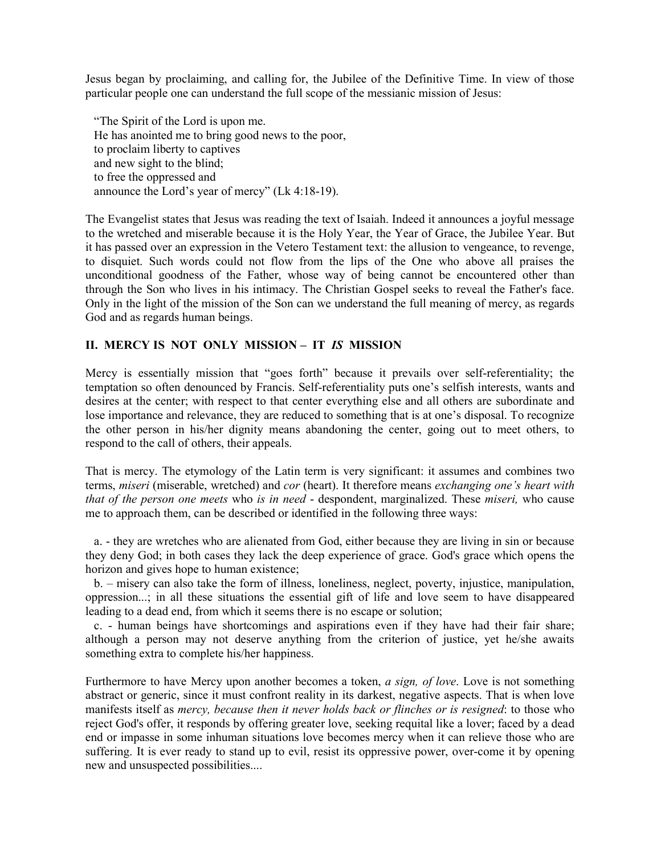Jesus began by proclaiming, and calling for, the Jubilee of the Definitive Time. In view of those particular people one can understand the full scope of the messianic mission of Jesus:

"The Spirit of the Lord is upon me. He has anointed me to bring good news to the poor, to proclaim liberty to captives and new sight to the blind; to free the oppressed and announce the Lord's year of mercy" (Lk 4:18-19).

The Evangelist states that Jesus was reading the text of Isaiah. Indeed it announces a joyful message to the wretched and miserable because it is the Holy Year, the Year of Grace, the Jubilee Year. But it has passed over an expression in the Vetero Testament text: the allusion to vengeance, to revenge, to disquiet. Such words could not flow from the lips of the One who above all praises the unconditional goodness of the Father, whose way of being cannot be encountered other than through the Son who lives in his intimacy. The Christian Gospel seeks to reveal the Father's face. Only in the light of the mission of the Son can we understand the full meaning of mercy, as regards God and as regards human beings.

## **II. MERCY IS NOT ONLY MISSION – IT** *IS* **MISSION**

Mercy is essentially mission that "goes forth" because it prevails over self-referentiality; the temptation so often denounced by Francis. Self-referentiality puts one's selfish interests, wants and desires at the center; with respect to that center everything else and all others are subordinate and lose importance and relevance, they are reduced to something that is at one's disposal. To recognize the other person in his/her dignity means abandoning the center, going out to meet others, to respond to the call of others, their appeals.

That is mercy. The etymology of the Latin term is very significant: it assumes and combines two terms, *miseri* (miserable, wretched) and *cor* (heart). It therefore means *exchanging one's heart with that of the person one meets* who *is in need* - despondent, marginalized. These *miseri,* who cause me to approach them, can be described or identified in the following three ways:

a. - they are wretches who are alienated from God, either because they are living in sin or because they deny God; in both cases they lack the deep experience of grace. God's grace which opens the horizon and gives hope to human existence;

b. – misery can also take the form of illness, loneliness, neglect, poverty, injustice, manipulation, oppression...; in all these situations the essential gift of life and love seem to have disappeared leading to a dead end, from which it seems there is no escape or solution;

c. - human beings have shortcomings and aspirations even if they have had their fair share; although a person may not deserve anything from the criterion of justice, yet he/she awaits something extra to complete his/her happiness.

Furthermore to have Mercy upon another becomes a token, *a sign, of love*. Love is not something abstract or generic, since it must confront reality in its darkest, negative aspects. That is when love manifests itself as *mercy, because then it never holds back or flinches or is resigned*: to those who reject God's offer, it responds by offering greater love, seeking requital like a lover; faced by a dead end or impasse in some inhuman situations love becomes mercy when it can relieve those who are suffering. It is ever ready to stand up to evil, resist its oppressive power, over-come it by opening new and unsuspected possibilities....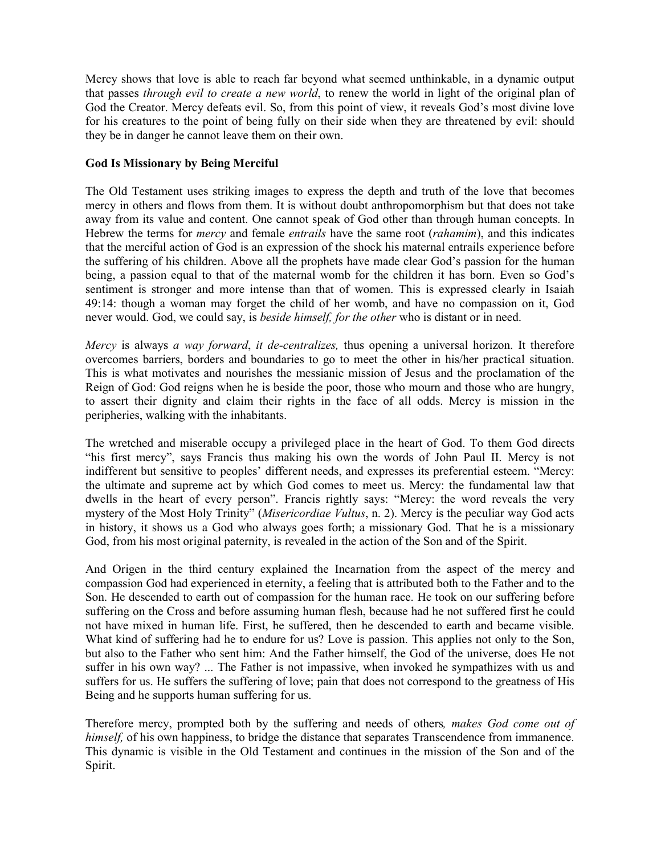Mercy shows that love is able to reach far beyond what seemed unthinkable, in a dynamic output that passes *through evil to create a new world*, to renew the world in light of the original plan of God the Creator. Mercy defeats evil. So, from this point of view, it reveals God's most divine love for his creatures to the point of being fully on their side when they are threatened by evil: should they be in danger he cannot leave them on their own.

# **God Is Missionary by Being Merciful**

The Old Testament uses striking images to express the depth and truth of the love that becomes mercy in others and flows from them. It is without doubt anthropomorphism but that does not take away from its value and content. One cannot speak of God other than through human concepts. In Hebrew the terms for *mercy* and female *entrails* have the same root (*rahamim*), and this indicates that the merciful action of God is an expression of the shock his maternal entrails experience before the suffering of his children. Above all the prophets have made clear God's passion for the human being, a passion equal to that of the maternal womb for the children it has born. Even so God's sentiment is stronger and more intense than that of women. This is expressed clearly in Isaiah 49:14: though a woman may forget the child of her womb, and have no compassion on it, God never would. God, we could say, is *beside himself, for the other* who is distant or in need.

*Mercy* is always *a way forward*, *it de-centralizes,* thus opening a universal horizon. It therefore overcomes barriers, borders and boundaries to go to meet the other in his/her practical situation. This is what motivates and nourishes the messianic mission of Jesus and the proclamation of the Reign of God: God reigns when he is beside the poor, those who mourn and those who are hungry, to assert their dignity and claim their rights in the face of all odds. Mercy is mission in the peripheries, walking with the inhabitants.

The wretched and miserable occupy a privileged place in the heart of God. To them God directs "his first mercy", says Francis thus making his own the words of John Paul II. Mercy is not indifferent but sensitive to peoples' different needs, and expresses its preferential esteem. "Mercy: the ultimate and supreme act by which God comes to meet us. Mercy: the fundamental law that dwells in the heart of every person". Francis rightly says: "Mercy: the word reveals the very mystery of the Most Holy Trinity" (*Misericordiae Vultus*, n. 2). Mercy is the peculiar way God acts in history, it shows us a God who always goes forth; a missionary God. That he is a missionary God, from his most original paternity, is revealed in the action of the Son and of the Spirit.

And Origen in the third century explained the Incarnation from the aspect of the mercy and compassion God had experienced in eternity, a feeling that is attributed both to the Father and to the Son. He descended to earth out of compassion for the human race. He took on our suffering before suffering on the Cross and before assuming human flesh, because had he not suffered first he could not have mixed in human life. First, he suffered, then he descended to earth and became visible. What kind of suffering had he to endure for us? Love is passion. This applies not only to the Son, but also to the Father who sent him: And the Father himself, the God of the universe, does He not suffer in his own way? ... The Father is not impassive, when invoked he sympathizes with us and suffers for us. He suffers the suffering of love; pain that does not correspond to the greatness of His Being and he supports human suffering for us.

Therefore mercy, prompted both by the suffering and needs of others*, makes God come out of himself*, of his own happiness, to bridge the distance that separates Transcendence from immanence. This dynamic is visible in the Old Testament and continues in the mission of the Son and of the Spirit.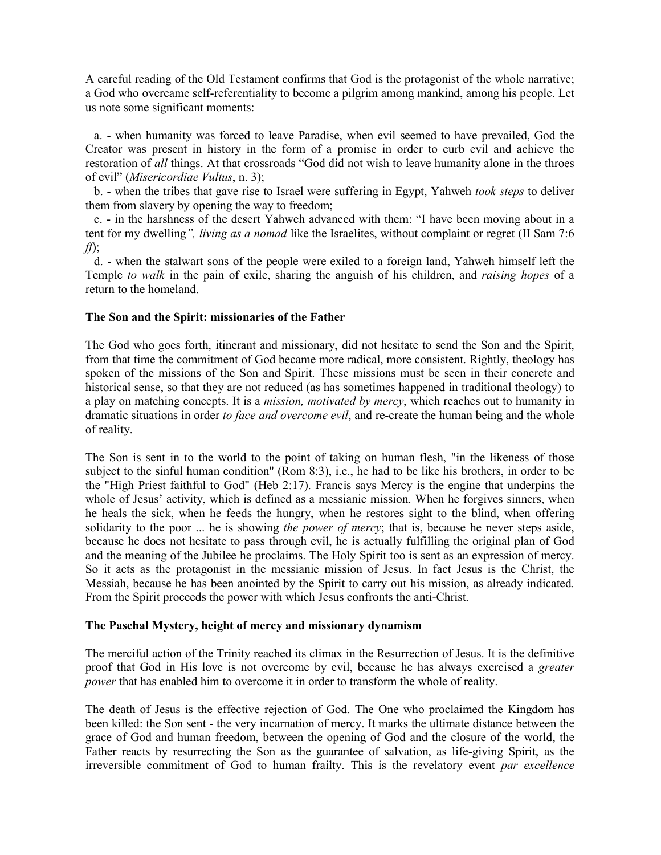A careful reading of the Old Testament confirms that God is the protagonist of the whole narrative; a God who overcame self-referentiality to become a pilgrim among mankind, among his people. Let us note some significant moments:

a. - when humanity was forced to leave Paradise, when evil seemed to have prevailed, God the Creator was present in history in the form of a promise in order to curb evil and achieve the restoration of *all* things. At that crossroads "God did not wish to leave humanity alone in the throes of evil" (*Misericordiae Vultus*, n. 3);

b. - when the tribes that gave rise to Israel were suffering in Egypt, Yahweh *took steps* to deliver them from slavery by opening the way to freedom;

c. - in the harshness of the desert Yahweh advanced with them: "I have been moving about in a tent for my dwelling*", living as a nomad* like the Israelites, without complaint or regret (II Sam 7:6 *ff*);

d. - when the stalwart sons of the people were exiled to a foreign land, Yahweh himself left the Temple *to walk* in the pain of exile, sharing the anguish of his children, and *raising hopes* of a return to the homeland.

#### **The Son and the Spirit: missionaries of the Father**

The God who goes forth, itinerant and missionary, did not hesitate to send the Son and the Spirit, from that time the commitment of God became more radical, more consistent. Rightly, theology has spoken of the missions of the Son and Spirit. These missions must be seen in their concrete and historical sense, so that they are not reduced (as has sometimes happened in traditional theology) to a play on matching concepts. It is a *mission, motivated by mercy*, which reaches out to humanity in dramatic situations in order *to face and overcome evil*, and re-create the human being and the whole of reality.

The Son is sent in to the world to the point of taking on human flesh, "in the likeness of those subject to the sinful human condition" (Rom 8:3), i.e., he had to be like his brothers, in order to be the "High Priest faithful to God" (Heb 2:17). Francis says Mercy is the engine that underpins the whole of Jesus' activity, which is defined as a messianic mission. When he forgives sinners, when he heals the sick, when he feeds the hungry, when he restores sight to the blind, when offering solidarity to the poor ... he is showing *the power of mercy*; that is, because he never steps aside, because he does not hesitate to pass through evil, he is actually fulfilling the original plan of God and the meaning of the Jubilee he proclaims. The Holy Spirit too is sent as an expression of mercy. So it acts as the protagonist in the messianic mission of Jesus. In fact Jesus is the Christ, the Messiah, because he has been anointed by the Spirit to carry out his mission, as already indicated. From the Spirit proceeds the power with which Jesus confronts the anti-Christ.

## **The Paschal Mystery, height of mercy and missionary dynamism**

The merciful action of the Trinity reached its climax in the Resurrection of Jesus. It is the definitive proof that God in His love is not overcome by evil, because he has always exercised a *greater power* that has enabled him to overcome it in order to transform the whole of reality.

The death of Jesus is the effective rejection of God. The One who proclaimed the Kingdom has been killed: the Son sent - the very incarnation of mercy. It marks the ultimate distance between the grace of God and human freedom, between the opening of God and the closure of the world, the Father reacts by resurrecting the Son as the guarantee of salvation, as life-giving Spirit, as the irreversible commitment of God to human frailty. This is the revelatory event *par excellence*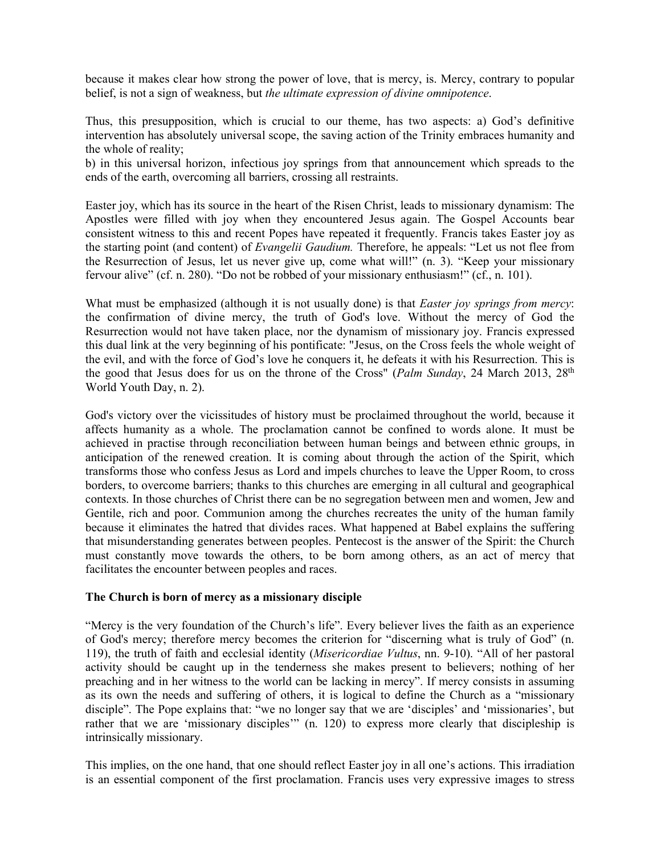because it makes clear how strong the power of love, that is mercy, is. Mercy, contrary to popular belief, is not a sign of weakness, but *the ultimate expression of divine omnipotence*.

Thus, this presupposition, which is crucial to our theme, has two aspects: a) God's definitive intervention has absolutely universal scope, the saving action of the Trinity embraces humanity and the whole of reality;

b) in this universal horizon, infectious joy springs from that announcement which spreads to the ends of the earth, overcoming all barriers, crossing all restraints.

Easter joy, which has its source in the heart of the Risen Christ, leads to missionary dynamism: The Apostles were filled with joy when they encountered Jesus again. The Gospel Accounts bear consistent witness to this and recent Popes have repeated it frequently. Francis takes Easter joy as the starting point (and content) of *Evangelii Gaudium.* Therefore, he appeals: "Let us not flee from the Resurrection of Jesus, let us never give up, come what will!" (n. 3). "Keep your missionary fervour alive" (cf. n. 280). "Do not be robbed of your missionary enthusiasm!" (cf., n. 101).

What must be emphasized (although it is not usually done) is that *Easter joy springs from mercy*: the confirmation of divine mercy, the truth of God's love. Without the mercy of God the Resurrection would not have taken place, nor the dynamism of missionary joy. Francis expressed this dual link at the very beginning of his pontificate: "Jesus, on the Cross feels the whole weight of the evil, and with the force of God's love he conquers it, he defeats it with his Resurrection. This is the good that Jesus does for us on the throne of the Cross" (*Palm Sunday*, 24 March 2013, 28<sup>th</sup> World Youth Day, n. 2).

God's victory over the vicissitudes of history must be proclaimed throughout the world, because it affects humanity as a whole. The proclamation cannot be confined to words alone. It must be achieved in practise through reconciliation between human beings and between ethnic groups, in anticipation of the renewed creation. It is coming about through the action of the Spirit, which transforms those who confess Jesus as Lord and impels churches to leave the Upper Room, to cross borders, to overcome barriers; thanks to this churches are emerging in all cultural and geographical contexts. In those churches of Christ there can be no segregation between men and women, Jew and Gentile, rich and poor. Communion among the churches recreates the unity of the human family because it eliminates the hatred that divides races. What happened at Babel explains the suffering that misunderstanding generates between peoples. Pentecost is the answer of the Spirit: the Church must constantly move towards the others, to be born among others, as an act of mercy that facilitates the encounter between peoples and races.

#### **The Church is born of mercy as a missionary disciple**

"Mercy is the very foundation of the Church's life". Every believer lives the faith as an experience of God's mercy; therefore mercy becomes the criterion for "discerning what is truly of God" (n. 119), the truth of faith and ecclesial identity (*Misericordiae Vultus*, nn. 9-10). "All of her pastoral activity should be caught up in the tenderness she makes present to believers; nothing of her preaching and in her witness to the world can be lacking in mercy". If mercy consists in assuming as its own the needs and suffering of others, it is logical to define the Church as a "missionary disciple". The Pope explains that: "we no longer say that we are 'disciples' and 'missionaries', but rather that we are 'missionary disciples'" (n. 120) to express more clearly that discipleship is intrinsically missionary.

This implies, on the one hand, that one should reflect Easter joy in all one's actions. This irradiation is an essential component of the first proclamation. Francis uses very expressive images to stress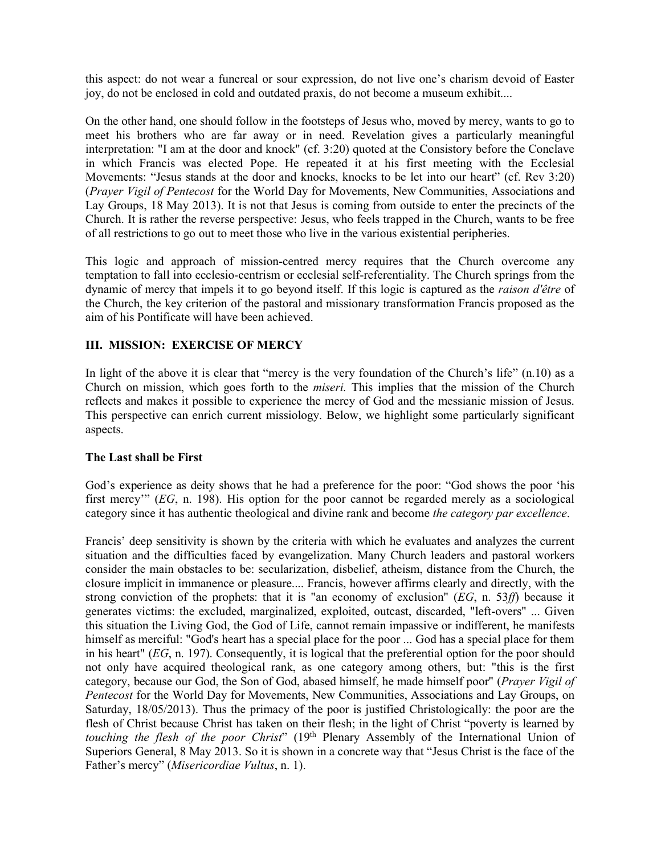this aspect: do not wear a funereal or sour expression, do not live one's charism devoid of Easter joy, do not be enclosed in cold and outdated praxis, do not become a museum exhibit....

On the other hand, one should follow in the footsteps of Jesus who, moved by mercy, wants to go to meet his brothers who are far away or in need. Revelation gives a particularly meaningful interpretation: "I am at the door and knock" (cf. 3:20) quoted at the Consistory before the Conclave in which Francis was elected Pope. He repeated it at his first meeting with the Ecclesial Movements: "Jesus stands at the door and knocks, knocks to be let into our heart" (cf. Rev 3:20) (*Prayer Vigil of Pentecost* for the World Day for Movements, New Communities, Associations and Lay Groups, 18 May 2013). It is not that Jesus is coming from outside to enter the precincts of the Church. It is rather the reverse perspective: Jesus, who feels trapped in the Church, wants to be free of all restrictions to go out to meet those who live in the various existential peripheries.

This logic and approach of mission-centred mercy requires that the Church overcome any temptation to fall into ecclesio-centrism or ecclesial self-referentiality. The Church springs from the dynamic of mercy that impels it to go beyond itself. If this logic is captured as the *raison d'être* of the Church, the key criterion of the pastoral and missionary transformation Francis proposed as the aim of his Pontificate will have been achieved.

## **III. MISSION: EXERCISE OF MERCY**

In light of the above it is clear that "mercy is the very foundation of the Church's life" (n.10) as a Church on mission, which goes forth to the *miseri.* This implies that the mission of the Church reflects and makes it possible to experience the mercy of God and the messianic mission of Jesus. This perspective can enrich current missiology. Below, we highlight some particularly significant aspects.

## **The Last shall be First**

God's experience as deity shows that he had a preference for the poor: "God shows the poor 'his first mercy'" (*EG*, n. 198). His option for the poor cannot be regarded merely as a sociological category since it has authentic theological and divine rank and become *the category par excellence*.

Francis' deep sensitivity is shown by the criteria with which he evaluates and analyzes the current situation and the difficulties faced by evangelization. Many Church leaders and pastoral workers consider the main obstacles to be: secularization, disbelief, atheism, distance from the Church, the closure implicit in immanence or pleasure.... Francis, however affirms clearly and directly, with the strong conviction of the prophets: that it is "an economy of exclusion" (*EG*, n. 53*ff*) because it generates victims: the excluded, marginalized, exploited, outcast, discarded, "left-overs" ... Given this situation the Living God, the God of Life, cannot remain impassive or indifferent, he manifests himself as merciful: "God's heart has a special place for the poor ... God has a special place for them in his heart" (*EG*, n. 197). Consequently, it is logical that the preferential option for the poor should not only have acquired theological rank, as one category among others, but: "this is the first category, because our God, the Son of God, abased himself, he made himself poor" (*Prayer Vigil of Pentecost* for the World Day for Movements, New Communities, Associations and Lay Groups, on Saturday, 18/05/2013). Thus the primacy of the poor is justified Christologically: the poor are the flesh of Christ because Christ has taken on their flesh; in the light of Christ "poverty is learned by touching the flesh of the poor Christ<sup>"</sup> (19<sup>th</sup> Plenary Assembly of the International Union of Superiors General, 8 May 2013. So it is shown in a concrete way that "Jesus Christ is the face of the Father's mercy" (*Misericordiae Vultus*, n. 1).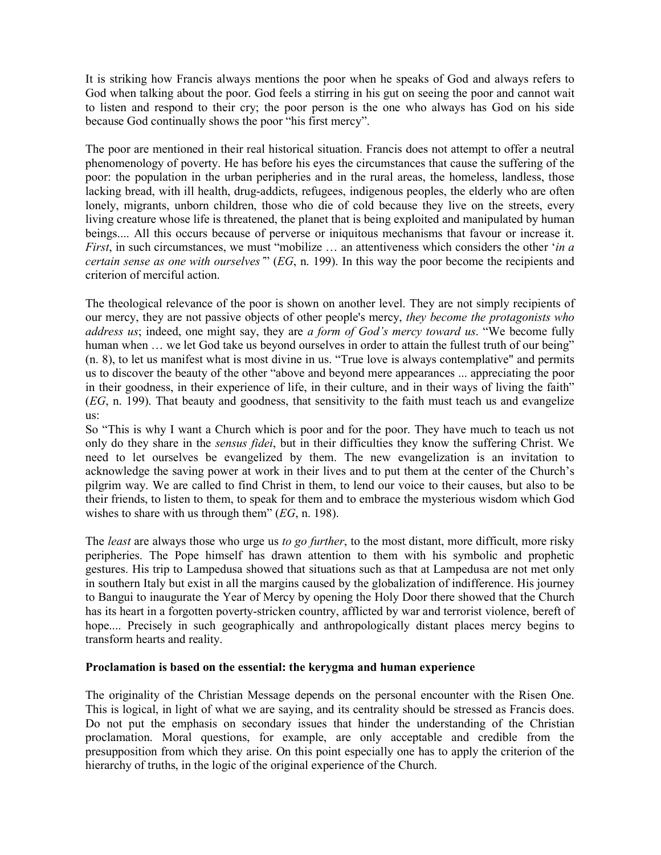It is striking how Francis always mentions the poor when he speaks of God and always refers to God when talking about the poor. God feels a stirring in his gut on seeing the poor and cannot wait to listen and respond to their cry; the poor person is the one who always has God on his side because God continually shows the poor "his first mercy".

The poor are mentioned in their real historical situation. Francis does not attempt to offer a neutral phenomenology of poverty. He has before his eyes the circumstances that cause the suffering of the poor: the population in the urban peripheries and in the rural areas, the homeless, landless, those lacking bread, with ill health, drug-addicts, refugees, indigenous peoples, the elderly who are often lonely, migrants, unborn children, those who die of cold because they live on the streets, every living creature whose life is threatened, the planet that is being exploited and manipulated by human beings.... All this occurs because of perverse or iniquitous mechanisms that favour or increase it. *First*, in such circumstances, we must "mobilize … an attentiveness which considers the other '*in a certain sense as one with ourselves'*" (*EG*, n. 199). In this way the poor become the recipients and criterion of merciful action.

The theological relevance of the poor is shown on another level. They are not simply recipients of our mercy, they are not passive objects of other people's mercy, *they become the protagonists who address us*; indeed, one might say, they are *a form of God's mercy toward us*. "We become fully human when ... we let God take us beyond ourselves in order to attain the fullest truth of our being" (n. 8), to let us manifest what is most divine in us. "True love is always contemplative" and permits us to discover the beauty of the other "above and beyond mere appearances ... appreciating the poor in their goodness, in their experience of life, in their culture, and in their ways of living the faith" (*EG*, n. 199). That beauty and goodness, that sensitivity to the faith must teach us and evangelize us:

So "This is why I want a Church which is poor and for the poor. They have much to teach us not only do they share in the *sensus fidei*, but in their difficulties they know the suffering Christ. We need to let ourselves be evangelized by them. The new evangelization is an invitation to acknowledge the saving power at work in their lives and to put them at the center of the Church's pilgrim way. We are called to find Christ in them, to lend our voice to their causes, but also to be their friends, to listen to them, to speak for them and to embrace the mysterious wisdom which God wishes to share with us through them" (*EG*, n. 198).

The *least* are always those who urge us *to go further*, to the most distant, more difficult, more risky peripheries. The Pope himself has drawn attention to them with his symbolic and prophetic gestures. His trip to Lampedusa showed that situations such as that at Lampedusa are not met only in southern Italy but exist in all the margins caused by the globalization of indifference. His journey to Bangui to inaugurate the Year of Mercy by opening the Holy Door there showed that the Church has its heart in a forgotten poverty-stricken country, afflicted by war and terrorist violence, bereft of hope.... Precisely in such geographically and anthropologically distant places mercy begins to transform hearts and reality.

## **Proclamation is based on the essential: the kerygma and human experience**

The originality of the Christian Message depends on the personal encounter with the Risen One. This is logical, in light of what we are saying, and its centrality should be stressed as Francis does. Do not put the emphasis on secondary issues that hinder the understanding of the Christian proclamation. Moral questions, for example, are only acceptable and credible from the presupposition from which they arise. On this point especially one has to apply the criterion of the hierarchy of truths, in the logic of the original experience of the Church.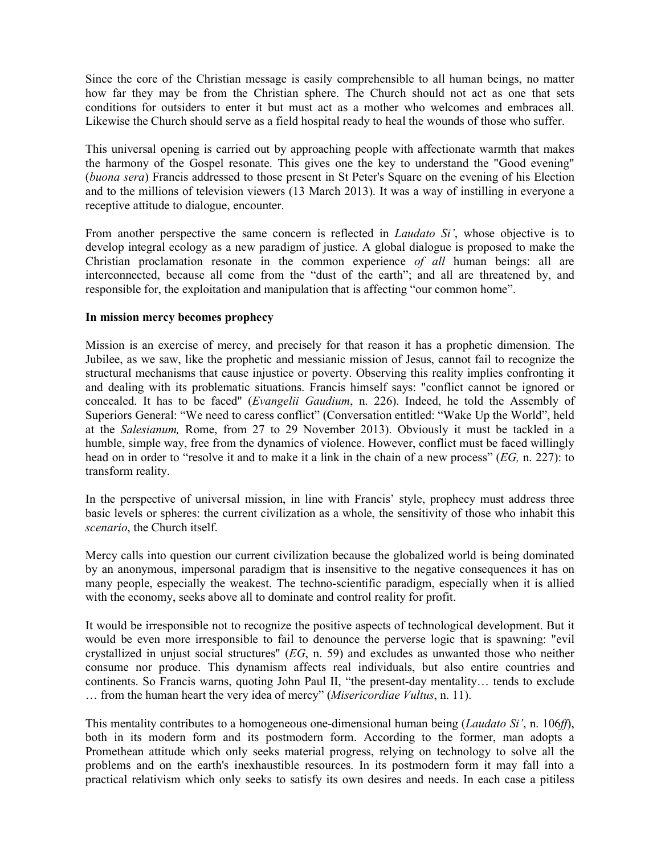Since the core of the Christian message is easily comprehensible to all human beings, no matter how far they may be from the Christian sphere. The Church should not act as one that sets conditions for outsiders to enter it but must act as a mother who welcomes and embraces all. Likewise the Church should serve as a field hospital ready to heal the wounds of those who suffer.

This universal opening is carried out by approaching people with affectionate warmth that makes the harmony of the Gospel resonate. This gives one the key to understand the "Good evening" (*buona sera*) Francis addressed to those present in St Peter's Square on the evening of his Election and to the millions of television viewers (13 March 2013). It was a way of instilling in everyone a receptive attitude to dialogue, encounter.

From another perspective the same concern is reflected in *Laudato Si'*, whose objective is to develop integral ecology as a new paradigm of justice. A global dialogue is proposed to make the Christian proclamation resonate in the common experience *of all* human beings: all are interconnected, because all come from the "dust of the earth"; and all are threatened by, and responsible for, the exploitation and manipulation that is affecting "our common home".

## **In mission mercy becomes prophecy**

Mission is an exercise of mercy, and precisely for that reason it has a prophetic dimension. The Jubilee, as we saw, like the prophetic and messianic mission of Jesus, cannot fail to recognize the structural mechanisms that cause injustice or poverty. Observing this reality implies confronting it and dealing with its problematic situations. Francis himself says: "conflict cannot be ignored or concealed. It has to be faced" (*Evangelii Gaudium*, n. 226). Indeed, he told the Assembly of Superiors General: "We need to caress conflict" (Conversation entitled: "Wake Up the World", held at the *Salesianum,* Rome, from 27 to 29 November 2013). Obviously it must be tackled in a humble, simple way, free from the dynamics of violence. However, conflict must be faced willingly head on in order to "resolve it and to make it a link in the chain of a new process" (*EG,* n. 227): to transform reality.

In the perspective of universal mission, in line with Francis' style, prophecy must address three basic levels or spheres: the current civilization as a whole, the sensitivity of those who inhabit this *scenario*, the Church itself.

Mercy calls into question our current civilization because the globalized world is being dominated by an anonymous, impersonal paradigm that is insensitive to the negative consequences it has on many people, especially the weakest. The techno-scientific paradigm, especially when it is allied with the economy, seeks above all to dominate and control reality for profit.

It would be irresponsible not to recognize the positive aspects of technological development. But it would be even more irresponsible to fail to denounce the perverse logic that is spawning: "evil crystallized in unjust social structures" (*EG*, n. 59) and excludes as unwanted those who neither consume nor produce. This dynamism affects real individuals, but also entire countries and continents. So Francis warns, quoting John Paul II, "the present-day mentality… tends to exclude … from the human heart the very idea of mercy" (*Misericordiae Vultus*, n. 11).

This mentality contributes to a homogeneous one-dimensional human being (*Laudato Si'*, n. 106*ff*), both in its modern form and its postmodern form. According to the former, man adopts a Promethean attitude which only seeks material progress, relying on technology to solve all the problems and on the earth's inexhaustible resources. In its postmodern form it may fall into a practical relativism which only seeks to satisfy its own desires and needs. In each case a pitiless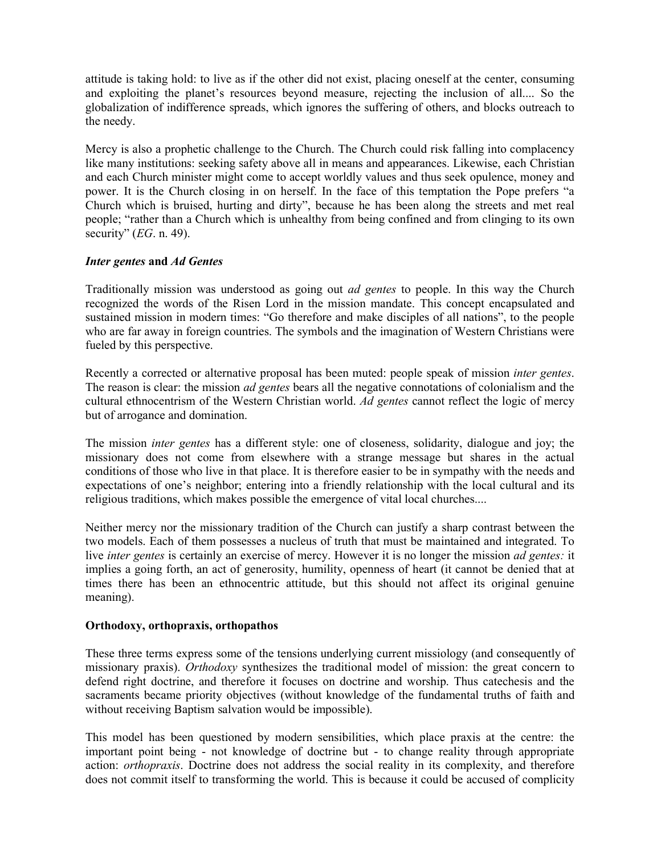attitude is taking hold: to live as if the other did not exist, placing oneself at the center, consuming and exploiting the planet's resources beyond measure, rejecting the inclusion of all.... So the globalization of indifference spreads, which ignores the suffering of others, and blocks outreach to the needy.

Mercy is also a prophetic challenge to the Church. The Church could risk falling into complacency like many institutions: seeking safety above all in means and appearances. Likewise, each Christian and each Church minister might come to accept worldly values and thus seek opulence, money and power. It is the Church closing in on herself. In the face of this temptation the Pope prefers "a Church which is bruised, hurting and dirty", because he has been along the streets and met real people; "rather than a Church which is unhealthy from being confined and from clinging to its own security" (*EG*. n. 49).

## *Inter gentes* **and** *Ad Gentes*

Traditionally mission was understood as going out *ad gentes* to people. In this way the Church recognized the words of the Risen Lord in the mission mandate. This concept encapsulated and sustained mission in modern times: "Go therefore and make disciples of all nations", to the people who are far away in foreign countries. The symbols and the imagination of Western Christians were fueled by this perspective.

Recently a corrected or alternative proposal has been muted: people speak of mission *inter gentes*. The reason is clear: the mission *ad gentes* bears all the negative connotations of colonialism and the cultural ethnocentrism of the Western Christian world. *Ad gentes* cannot reflect the logic of mercy but of arrogance and domination.

The mission *inter gentes* has a different style: one of closeness, solidarity, dialogue and joy; the missionary does not come from elsewhere with a strange message but shares in the actual conditions of those who live in that place. It is therefore easier to be in sympathy with the needs and expectations of one's neighbor; entering into a friendly relationship with the local cultural and its religious traditions, which makes possible the emergence of vital local churches....

Neither mercy nor the missionary tradition of the Church can justify a sharp contrast between the two models. Each of them possesses a nucleus of truth that must be maintained and integrated. To live *inter gentes* is certainly an exercise of mercy. However it is no longer the mission *ad gentes:* it implies a going forth, an act of generosity, humility, openness of heart (it cannot be denied that at times there has been an ethnocentric attitude, but this should not affect its original genuine meaning).

## **Orthodoxy, orthopraxis, orthopathos**

These three terms express some of the tensions underlying current missiology (and consequently of missionary praxis). *Orthodoxy* synthesizes the traditional model of mission: the great concern to defend right doctrine, and therefore it focuses on doctrine and worship. Thus catechesis and the sacraments became priority objectives (without knowledge of the fundamental truths of faith and without receiving Baptism salvation would be impossible).

This model has been questioned by modern sensibilities, which place praxis at the centre: the important point being - not knowledge of doctrine but - to change reality through appropriate action: *orthopraxis*. Doctrine does not address the social reality in its complexity, and therefore does not commit itself to transforming the world. This is because it could be accused of complicity